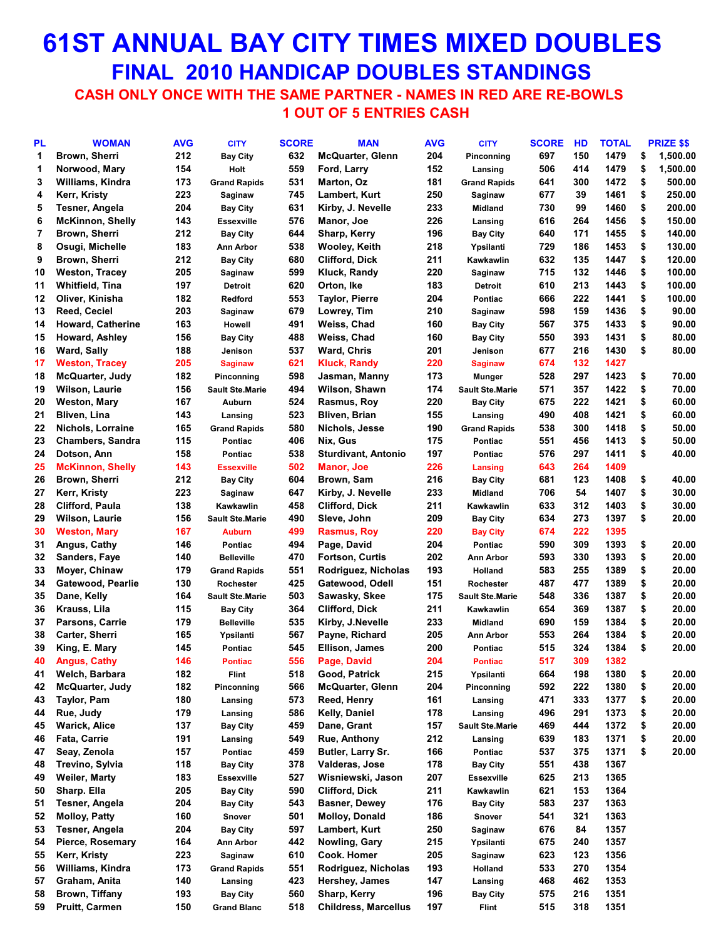# **61ST ANNUAL BAY CITY TIMES MIXED DOUBLES FINAL 2010 HANDICAP DOUBLES STANDINGS**

 **CASH ONLY ONCE WITH THE SAME PARTNER - NAMES IN RED ARE RE-BOWLS 1 OUT OF 5 ENTRIES CASH**

| PL | <b>WOMAN</b>             | <b>AVG</b> | <b>CITY</b>            | <b>SCORE</b> | <b>MAN</b>                  | <b>AVG</b> | <b>CITY</b>            | <b>SCORE</b> | HD  | <b>TOTAL</b> | PRIZE \$\$     |
|----|--------------------------|------------|------------------------|--------------|-----------------------------|------------|------------------------|--------------|-----|--------------|----------------|
| 1  | Brown, Sherri            | 212        | <b>Bay City</b>        | 632          | <b>McQuarter, Glenn</b>     | 204        | Pinconning             | 697          | 150 | 1479         | \$<br>1,500.00 |
| 1  | Norwood, Mary            | 154        | Holt                   | 559          | Ford, Larry                 | 152        | Lansing                | 506          | 414 | 1479         | \$<br>1,500.00 |
| 3  | Williams, Kindra         | 173        | <b>Grand Rapids</b>    | 531          | Marton, Oz                  | 181        | <b>Grand Rapids</b>    | 641          | 300 | 1472         | \$<br>500.00   |
| 4  | Kerr, Kristy             | 223        | Saginaw                | 745          | Lambert, Kurt               | 250        | Saginaw                | 677          | 39  | 1461         | \$<br>250.00   |
| 5  | Tesner, Angela           | 204        | <b>Bay City</b>        | 631          | Kirby, J. Nevelle           | 233        | <b>Midland</b>         | 730          | 99  | 1460         | \$<br>200.00   |
| 6  | <b>McKinnon, Shelly</b>  | 143        | <b>Essexville</b>      | 576          | Manor, Joe                  | 226        | Lansing                | 616          | 264 | 1456         | \$<br>150.00   |
| 7  | Brown, Sherri            | 212        | <b>Bay City</b>        | 644          | Sharp, Kerry                | 196        | <b>Bay City</b>        | 640          | 171 | 1455         | \$<br>140.00   |
| 8  | Osugi, Michelle          | 183        | Ann Arbor              | 538          | Wooley, Keith               | 218        | Ypsilanti              | 729          | 186 | 1453         | \$<br>130.00   |
| 9  | Brown, Sherri            | 212        | <b>Bay City</b>        | 680          | Clifford, Dick              | 211        | Kawkawlin              | 632          | 135 | 1447         | \$<br>120.00   |
| 10 | <b>Weston, Tracey</b>    | 205        | Saginaw                | 599          | Kluck, Randy                | 220        | Saginaw                | 715          | 132 | 1446         | \$<br>100.00   |
| 11 | <b>Whitfield, Tina</b>   | 197        | <b>Detroit</b>         | 620          | Orton, Ike                  | 183        |                        | 610          | 213 | 1443         | \$<br>100.00   |
| 12 | Oliver, Kinisha          | 182        |                        | 553          | <b>Taylor, Pierre</b>       | 204        | <b>Detroit</b>         | 666          | 222 | 1441         | \$<br>100.00   |
|    |                          | 203        | Redford                | 679          |                             | 210        | Pontiac                |              |     | 1436         | \$<br>90.00    |
| 13 | Reed, Ceciel             |            | Saginaw                |              | Lowrey, Tim                 |            | Saginaw                | 598          | 159 |              |                |
| 14 | <b>Howard, Catherine</b> | 163        | Howell                 | 491          | Weiss, Chad                 | 160        | <b>Bay City</b>        | 567          | 375 | 1433         | \$<br>90.00    |
| 15 | Howard, Ashley           | 156        | <b>Bay City</b>        | 488          | Weiss, Chad                 | 160        | <b>Bay City</b>        | 550          | 393 | 1431         | \$<br>80.00    |
| 16 | <b>Ward, Sally</b>       | 188        | Jenison                | 537          | Ward, Chris                 | 201        | Jenison                | 677          | 216 | 1430         | \$<br>80.00    |
| 17 | <b>Weston, Tracey</b>    | 205        | <b>Saginaw</b>         | 621          | <b>Kluck, Randy</b>         | 220        | <b>Saginaw</b>         | 674          | 132 | 1427         |                |
| 18 | McQuarter, Judy          | 182        | Pinconning             | 598          | Jasman, Manny               | 173        | Munger                 | 528          | 297 | 1423         | \$<br>70.00    |
| 19 | Wilson, Laurie           | 156        | <b>Sault Ste.Marie</b> | 494          | Wilson, Shawn               | 174        | <b>Sault Ste.Marie</b> | 571          | 357 | 1422         | \$<br>70.00    |
| 20 | Weston, Mary             | 167        | <b>Auburn</b>          | 524          | Rasmus, Roy                 | 220        | <b>Bay City</b>        | 675          | 222 | 1421         | \$<br>60.00    |
| 21 | <b>Bliven, Lina</b>      | 143        | Lansing                | 523          | Bliven, Brian               | 155        | Lansing                | 490          | 408 | 1421         | \$<br>60.00    |
| 22 | Nichols, Lorraine        | 165        | <b>Grand Rapids</b>    | 580          | Nichols, Jesse              | 190        | <b>Grand Rapids</b>    | 538          | 300 | 1418         | \$<br>50.00    |
| 23 | <b>Chambers, Sandra</b>  | 115        | Pontiac                | 406          | Nix, Gus                    | 175        | Pontiac                | 551          | 456 | 1413         | \$<br>50.00    |
| 24 | Dotson, Ann              | 158        | <b>Pontiac</b>         | 538          | <b>Sturdivant, Antonio</b>  | 197        | Pontiac                | 576          | 297 | 1411         | \$<br>40.00    |
| 25 | <b>McKinnon, Shelly</b>  | 143        | <b>Essexville</b>      | 502          | <b>Manor, Joe</b>           | 226        | Lansing                | 643          | 264 | 1409         |                |
| 26 | Brown, Sherri            | 212        | <b>Bay City</b>        | 604          | Brown, Sam                  | 216        | <b>Bay City</b>        | 681          | 123 | 1408         | \$<br>40.00    |
| 27 | Kerr, Kristy             | 223        | Saginaw                | 647          | Kirby, J. Nevelle           | 233        | <b>Midland</b>         | 706          | 54  | 1407         | \$<br>30.00    |
| 28 | Clifford, Paula          | 138        | Kawkawlin              | 458          | <b>Clifford, Dick</b>       | 211        | Kawkawlin              | 633          | 312 | 1403         | \$<br>30.00    |
| 29 | Wilson, Laurie           | 156        | <b>Sault Ste.Marie</b> | 490          | Sleve, John                 | 209        | <b>Bay City</b>        | 634          | 273 | 1397         | \$<br>20.00    |
| 30 | <b>Weston, Mary</b>      | 167        | <b>Auburn</b>          | 499          | <b>Rasmus, Roy</b>          | 220        | <b>Bay City</b>        | 674          | 222 | 1395         |                |
| 31 | Angus, Cathy             | 146        | Pontiac                | 494          | Page, David                 | 204        | Pontiac                | 590          | 309 | 1393         | \$<br>20.00    |
| 32 | Sanders, Faye            | 140        | <b>Belleville</b>      | 470          | Fortson, Curtis             | 202        | <b>Ann Arbor</b>       | 593          | 330 | 1393         | \$<br>20.00    |
| 33 | Moyer, Chinaw            | 179        | <b>Grand Rapids</b>    | 551          | Rodriguez, Nicholas         | 193        | Holland                | 583          | 255 | 1389         | \$<br>20.00    |
| 34 | Gatewood, Pearlie        | 130        | Rochester              | 425          | Gatewood, Odell             | 151        | Rochester              | 487          | 477 | 1389         | \$<br>20.00    |
| 35 | Dane, Kelly              | 164        | <b>Sault Ste.Marie</b> | 503          | Sawasky, Skee               | 175        | <b>Sault Ste.Marie</b> | 548          | 336 | 1387         | \$<br>20.00    |
| 36 | Krauss, Lila             | 115        | <b>Bay City</b>        | 364          | Clifford, Dick              | 211        | Kawkawlin              | 654          | 369 | 1387         | \$<br>20.00    |
| 37 | <b>Parsons, Carrie</b>   | 179        | Belleville             | 535          | Kirby, J.Nevelle            | 233        | <b>Midland</b>         | 690          | 159 | 1384         | \$<br>20.00    |
| 38 |                          | 165        |                        | 567          |                             | 205        |                        | 553          | 264 | 1384         | \$<br>20.00    |
|    | Carter, Sherri           |            | Ypsilanti              |              | Payne, Richard              |            | <b>Ann Arbor</b>       |              |     |              | \$<br>20.00    |
| 39 | King, E. Mary            | 145        | Pontiac                | 545          | Ellison, James              | 200        | Pontiac                | 515          | 324 | 1384         |                |
| 40 | <b>Angus, Cathy</b>      | 146        | <b>Pontiac</b>         | 556          | Page, David                 | 204        | <b>Pontiac</b>         | 517          | 309 | 1382         |                |
| 41 | Welch, Barbara           | 182        | <b>Flint</b>           | 518          | Good, Patrick               | 215        | Ypsilanti              | 664          | 198 | 1380         | \$<br>20.00    |
| 42 | McQuarter, Judy          | 182        | Pinconning             | 566          | <b>McQuarter, Glenn</b>     | 204        | Pinconning             | 592          | 222 | 1380         | \$<br>20.00    |
| 43 | Taylor, Pam              | 180        | Lansing                | 573          | Reed, Henry                 | 161        | Lansing                | 471          | 333 | 1377         | \$<br>20.00    |
| 44 | Rue, Judy                | 179        | Lansing                | 586          | Kelly, Daniel               | 178        | Lansing                | 496          | 291 | 1373         | \$<br>20.00    |
| 45 | Warick, Alice            | 137        | <b>Bay City</b>        | 459          | Dane, Grant                 | 157        | <b>Sault Ste.Marie</b> | 469          | 444 | 1372         | \$<br>20.00    |
| 46 | Fata, Carrie             | 191        | Lansing                | 549          | Rue, Anthony                | 212        | Lansing                | 639          | 183 | 1371         | \$<br>20.00    |
| 47 | Seay, Zenola             | 157        | Pontiac                | 459          | Butler, Larry Sr.           | 166        | Pontiac                | 537          | 375 | 1371         | \$<br>20.00    |
| 48 | Trevino, Sylvia          | 118        | <b>Bay City</b>        | 378          | Valderas, Jose              | 178        | <b>Bay City</b>        | 551          | 438 | 1367         |                |
| 49 | Weiler, Marty            | 183        | <b>Essexville</b>      | 527          | Wisniewski, Jason           | 207        | Essexville             | 625          | 213 | 1365         |                |
| 50 | Sharp. Ella              | 205        | <b>Bay City</b>        | 590          | <b>Clifford, Dick</b>       | 211        | Kawkawlin              | 621          | 153 | 1364         |                |
| 51 | Tesner, Angela           | 204        | <b>Bay City</b>        | 543          | <b>Basner, Dewey</b>        | 176        | <b>Bay City</b>        | 583          | 237 | 1363         |                |
| 52 | <b>Molloy, Patty</b>     | 160        | Snover                 | 501          | <b>Molloy, Donald</b>       | 186        | Snover                 | 541          | 321 | 1363         |                |
| 53 | Tesner, Angela           | 204        | <b>Bay City</b>        | 597          | Lambert, Kurt               | 250        | Saginaw                | 676          | 84  | 1357         |                |
| 54 | <b>Pierce, Rosemary</b>  | 164        | Ann Arbor              | 442          | Nowling, Gary               | 215        | Ypsilanti              | 675          | 240 | 1357         |                |
| 55 | Kerr, Kristy             | 223        | Saginaw                | 610          | Cook. Homer                 | 205        | Saginaw                | 623          | 123 | 1356         |                |
| 56 | Williams, Kindra         | 173        | <b>Grand Rapids</b>    | 551          | Rodriguez, Nicholas         | 193        | Holland                | 533          | 270 | 1354         |                |
| 57 | Graham, Anita            | 140        | Lansing                | 423          | Hershey, James              | 147        | Lansing                | 468          | 462 | 1353         |                |
| 58 | Brown, Tiffany           | 193        | <b>Bay City</b>        | 560          | Sharp, Kerry                | 196        | <b>Bay City</b>        | 575          | 216 | 1351         |                |
| 59 | <b>Pruitt, Carmen</b>    | 150        | <b>Grand Blanc</b>     | 518          | <b>Childress, Marcellus</b> | 197        | <b>Flint</b>           | 515          | 318 | 1351         |                |
|    |                          |            |                        |              |                             |            |                        |              |     |              |                |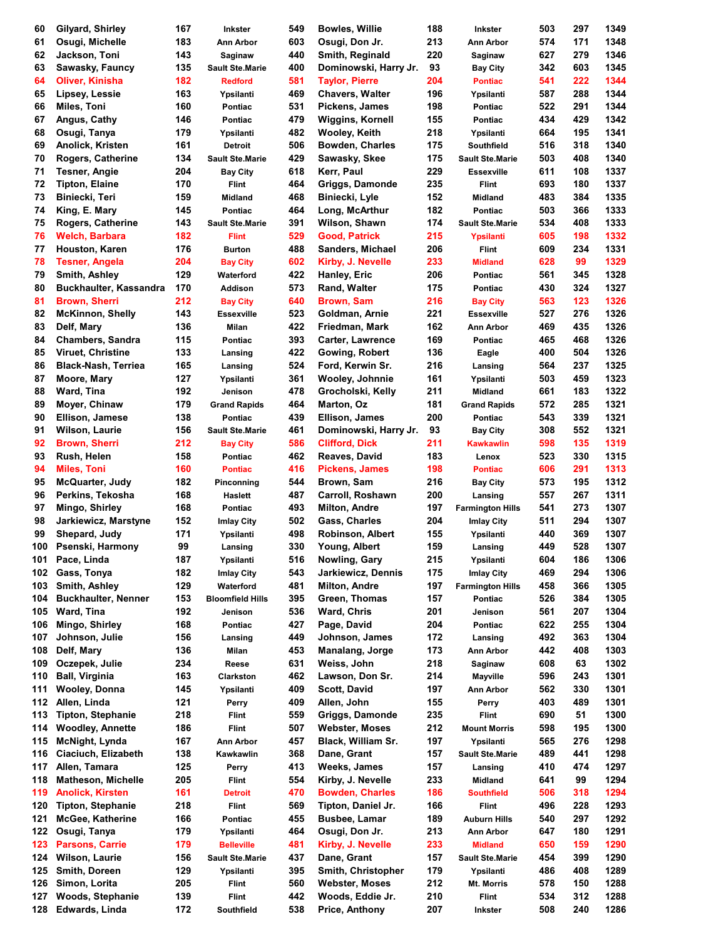| 60  | Gilyard, Shirley              | 167 | <b>Inkster</b>          | 549 | <b>Bowles, Willie</b>     | 188 | <b>Inkster</b>          | 503 | 297 | 1349 |
|-----|-------------------------------|-----|-------------------------|-----|---------------------------|-----|-------------------------|-----|-----|------|
| 61  | Osugi, Michelle               | 183 | Ann Arbor               | 603 | Osugi, Don Jr.            | 213 | Ann Arbor               | 574 | 171 | 1348 |
| 62  | Jackson, Toni                 | 143 | Saginaw                 | 440 | Smith, Reginald           | 220 | Saginaw                 | 627 | 279 | 1346 |
| 63  | Sawasky, Fauncy               | 135 | <b>Sault Ste.Marie</b>  | 400 | Dominowski, Harry Jr.     | 93  | <b>Bay City</b>         | 342 | 603 | 1345 |
| 64  | Oliver, Kinisha               | 182 | <b>Redford</b>          | 581 | <b>Taylor, Pierre</b>     | 204 | <b>Pontiac</b>          | 541 | 222 | 1344 |
| 65  | Lipsey, Lessie                | 163 | Ypsilanti               | 469 | <b>Chavers, Walter</b>    | 196 | Ypsilanti               | 587 | 288 | 1344 |
| 66  | Miles, Toni                   | 160 | <b>Pontiac</b>          | 531 | Pickens, James            | 198 | Pontiac                 | 522 | 291 | 1344 |
|     |                               |     |                         | 479 |                           |     |                         |     |     | 1342 |
| 67  | Angus, Cathy                  | 146 | <b>Pontiac</b>          |     | <b>Wiggins, Kornell</b>   | 155 | Pontiac                 | 434 | 429 |      |
| 68  | Osugi, Tanya                  | 179 | Ypsilanti               | 482 | Wooley, Keith             | 218 | Ypsilanti               | 664 | 195 | 1341 |
| 69  | Anolick, Kristen              | 161 | Detroit                 | 506 | <b>Bowden, Charles</b>    | 175 | Southfield              | 516 | 318 | 1340 |
| 70  | Rogers, Catherine             | 134 | <b>Sault Ste.Marie</b>  | 429 | Sawasky, Skee             | 175 | <b>Sault Ste.Marie</b>  | 503 | 408 | 1340 |
| 71  | Tesner, Angie                 | 204 | <b>Bay City</b>         | 618 | Kerr, Paul                | 229 | <b>Essexville</b>       | 611 | 108 | 1337 |
| 72  | <b>Tipton, Elaine</b>         | 170 | <b>Flint</b>            | 464 | Griggs, Damonde           | 235 | Flint                   | 693 | 180 | 1337 |
| 73  | Biniecki, Teri                | 159 | <b>Midland</b>          | 468 | Biniecki, Lyle            | 152 | <b>Midland</b>          | 483 | 384 | 1335 |
| 74  | King, E. Mary                 | 145 | Pontiac                 | 464 | Long, McArthur            | 182 | Pontiac                 | 503 | 366 | 1333 |
| 75  | Rogers, Catherine             | 143 | <b>Sault Ste.Marie</b>  | 391 | Wilson, Shawn             | 174 | <b>Sault Ste.Marie</b>  | 534 | 408 | 1333 |
| 76  | <b>Welch, Barbara</b>         | 182 | <b>Flint</b>            | 529 | <b>Good, Patrick</b>      | 215 | Ypsilanti               | 605 | 198 | 1332 |
| 77  | Houston, Karen                | 176 | <b>Burton</b>           | 488 | Sanders, Michael          | 206 | Flint                   | 609 | 234 | 1331 |
| 78  | <b>Tesner, Angela</b>         | 204 | <b>Bay City</b>         | 602 | Kirby, J. Nevelle         | 233 | <b>Midland</b>          | 628 | 99  | 1329 |
| 79  |                               | 129 |                         | 422 | Hanley, Eric              | 206 |                         | 561 | 345 | 1328 |
|     | Smith, Ashley                 |     | Waterford               |     |                           |     | Pontiac                 |     |     |      |
| 80  | <b>Buckhaulter, Kassandra</b> | 170 | Addison                 | 573 | Rand, Walter              | 175 | Pontiac                 | 430 | 324 | 1327 |
| 81  | <b>Brown, Sherri</b>          | 212 | <b>Bay City</b>         | 640 | <b>Brown, Sam</b>         | 216 | <b>Bay City</b>         | 563 | 123 | 1326 |
| 82  | <b>McKinnon, Shelly</b>       | 143 | <b>Essexville</b>       | 523 | Goldman, Arnie            | 221 | <b>Essexville</b>       | 527 | 276 | 1326 |
| 83  | Delf, Mary                    | 136 | Milan                   | 422 | Friedman, Mark            | 162 | Ann Arbor               | 469 | 435 | 1326 |
| 84  | <b>Chambers, Sandra</b>       | 115 | Pontiac                 | 393 | <b>Carter, Lawrence</b>   | 169 | Pontiac                 | 465 | 468 | 1326 |
| 85  | Viruet, Christine             | 133 | Lansing                 | 422 | Gowing, Robert            | 136 | Eagle                   | 400 | 504 | 1326 |
| 86  | <b>Black-Nash, Terriea</b>    | 165 | Lansing                 | 524 | Ford, Kerwin Sr.          | 216 | Lansing                 | 564 | 237 | 1325 |
| 87  | Moore, Mary                   | 127 | Ypsilanti               | 361 | Wooley, Johnnie           | 161 | Ypsilanti               | 503 | 459 | 1323 |
| 88  | Ward, Tina                    | 192 | Jenison                 | 478 | Grocholski, Kelly         | 211 | <b>Midland</b>          | 661 | 183 | 1322 |
| 89  | Moyer, Chinaw                 | 179 | <b>Grand Rapids</b>     | 464 | Marton, Oz                | 181 | <b>Grand Rapids</b>     | 572 | 285 | 1321 |
| 90  | Ellison, Jamese               | 138 | Pontiac                 | 439 | Ellison, James            | 200 | Pontiac                 | 543 | 339 | 1321 |
|     |                               |     |                         |     |                           |     |                         |     |     |      |
| 91  | Wilson, Laurie                | 156 | <b>Sault Ste.Marie</b>  | 461 | Dominowski, Harry Jr.     | 93  | <b>Bay City</b>         | 308 | 552 | 1321 |
| 92  | <b>Brown, Sherri</b>          | 212 | <b>Bay City</b>         | 586 | <b>Clifford, Dick</b>     | 211 | Kawkawlin               | 598 | 135 | 1319 |
| 93  | Rush, Helen                   | 158 | <b>Pontiac</b>          | 462 | Reaves, David             | 183 | Lenox                   | 523 | 330 | 1315 |
| 94  | <b>Miles, Toni</b>            | 160 | <b>Pontiac</b>          | 416 | <b>Pickens, James</b>     | 198 | <b>Pontiac</b>          | 606 | 291 | 1313 |
| 95  | <b>McQuarter, Judy</b>        | 182 | Pinconning              | 544 | Brown, Sam                | 216 | <b>Bay City</b>         | 573 | 195 | 1312 |
| 96  | Perkins, Tekosha              | 168 | <b>Haslett</b>          | 487 | Carroll, Roshawn          | 200 | Lansing                 | 557 | 267 | 1311 |
| 97  | Mingo, Shirley                | 168 | Pontiac                 | 493 | <b>Milton, Andre</b>      | 197 | <b>Farmington Hills</b> | 541 | 273 | 1307 |
| 98  | Jarkiewicz, Marstyne          | 152 | Imlay City              | 502 | Gass, Charles             | 204 | Imlay City              | 511 | 294 | 1307 |
| 99  | Shepard, Judy                 | 171 | Ypsilanti               | 498 | <b>Robinson, Albert</b>   | 155 | Ypsilanti               | 440 | 369 | 1307 |
| 100 | Psenski, Harmony              | 99  | Lansing                 | 330 | Young, Albert             | 159 | Lansing                 | 449 | 528 | 1307 |
| 101 | Pace, Linda                   | 187 | Ypsilanti               | 516 | Nowling, Gary             | 215 | Ypsilanti               | 604 | 186 | 1306 |
| 102 | Gass, Tonya                   | 182 |                         | 543 | <b>Jarkiewicz, Dennis</b> | 175 |                         | 469 | 294 | 1306 |
|     |                               |     | <b>Imlay City</b>       |     |                           |     | <b>Imlay City</b>       |     |     |      |
| 103 | Smith, Ashley                 | 129 | Waterford               | 481 | Milton, Andre             | 197 | <b>Farmington Hills</b> | 458 | 366 | 1305 |
| 104 | <b>Buckhaulter, Nenner</b>    | 153 | <b>Bloomfield Hills</b> | 395 | Green, Thomas             | 157 | Pontiac                 | 526 | 384 | 1305 |
| 105 | Ward, Tina                    | 192 | Jenison                 | 536 | Ward, Chris               | 201 | Jenison                 | 561 | 207 | 1304 |
| 106 | Mingo, Shirley                | 168 | Pontiac                 | 427 | Page, David               | 204 | Pontiac                 | 622 | 255 | 1304 |
| 107 | Johnson, Julie                | 156 | Lansing                 | 449 | Johnson, James            | 172 | Lansing                 | 492 | 363 | 1304 |
| 108 | Delf, Mary                    | 136 | Milan                   | 453 | Manalang, Jorge           | 173 | Ann Arbor               | 442 | 408 | 1303 |
| 109 | Oczepek, Julie                | 234 | Reese                   | 631 | Weiss, John               | 218 | Saginaw                 | 608 | 63  | 1302 |
| 110 | <b>Ball, Virginia</b>         | 163 | Clarkston               | 462 | Lawson, Don Sr.           | 214 | Mayville                | 596 | 243 | 1301 |
| 111 | <b>Wooley, Donna</b>          | 145 | Ypsilanti               | 409 | Scott, David              | 197 | Ann Arbor               | 562 | 330 | 1301 |
| 112 | Allen, Linda                  | 121 | Perry                   | 409 | Allen, John               | 155 | Perry                   | 403 | 489 | 1301 |
| 113 | <b>Tipton, Stephanie</b>      | 218 | Flint                   | 559 | <b>Griggs, Damonde</b>    | 235 | <b>Flint</b>            | 690 | 51  | 1300 |
| 114 | <b>Woodley, Annette</b>       | 186 | <b>Flint</b>            | 507 | <b>Webster, Moses</b>     | 212 | <b>Mount Morris</b>     | 598 | 195 | 1300 |
| 115 | <b>McNight, Lynda</b>         | 167 | Ann Arbor               | 457 | Black, William Sr.        | 197 |                         | 565 | 276 | 1298 |
|     |                               |     |                         |     |                           |     | Ypsilanti               |     |     |      |
| 116 | Ciaciuch, Elizabeth           | 138 | Kawkawlin               | 368 | Dane, Grant               | 157 | <b>Sault Ste.Marie</b>  | 489 | 441 | 1298 |
| 117 | Allen, Tamara                 | 125 | Perry                   | 413 | <b>Weeks, James</b>       | 157 | Lansing                 | 410 | 474 | 1297 |
| 118 | <b>Matheson, Michelle</b>     | 205 | <b>Flint</b>            | 554 | Kirby, J. Nevelle         | 233 | <b>Midland</b>          | 641 | 99  | 1294 |
| 119 | <b>Anolick, Kirsten</b>       | 161 | <b>Detroit</b>          | 470 | <b>Bowden, Charles</b>    | 186 | <b>Southfield</b>       | 506 | 318 | 1294 |
| 120 | <b>Tipton, Stephanie</b>      | 218 | <b>Flint</b>            | 569 | Tipton, Daniel Jr.        | 166 | Flint                   | 496 | 228 | 1293 |
| 121 | McGee, Katherine              | 166 | Pontiac                 | 455 | <b>Busbee, Lamar</b>      | 189 | <b>Auburn Hills</b>     | 540 | 297 | 1292 |
| 122 | Osugi, Tanya                  | 179 | Ypsilanti               | 464 | Osugi, Don Jr.            | 213 | Ann Arbor               | 647 | 180 | 1291 |
| 123 | <b>Parsons, Carrie</b>        | 179 | <b>Belleville</b>       | 481 | Kirby, J. Nevelle         | 233 | <b>Midland</b>          | 650 | 159 | 1290 |
| 124 | <b>Wilson, Laurie</b>         | 156 | <b>Sault Ste.Marie</b>  | 437 | Dane, Grant               | 157 | <b>Sault Ste.Marie</b>  | 454 | 399 | 1290 |
| 125 | Smith, Doreen                 | 129 | Ypsilanti               | 395 | Smith, Christopher        | 179 | Ypsilanti               | 486 | 408 | 1289 |
| 126 | Simon, Lorita                 | 205 | Flint                   | 560 | <b>Webster, Moses</b>     | 212 | Mt. Morris              | 578 | 150 | 1288 |
| 127 | Woods, Stephanie              | 139 | <b>Flint</b>            | 442 | Woods, Eddie Jr.          | 210 | <b>Flint</b>            | 534 | 312 | 1288 |
| 128 | Edwards, Linda                | 172 | Southfield              | 538 | Price, Anthony            | 207 |                         | 508 | 240 | 1286 |
|     |                               |     |                         |     |                           |     | Inkster                 |     |     |      |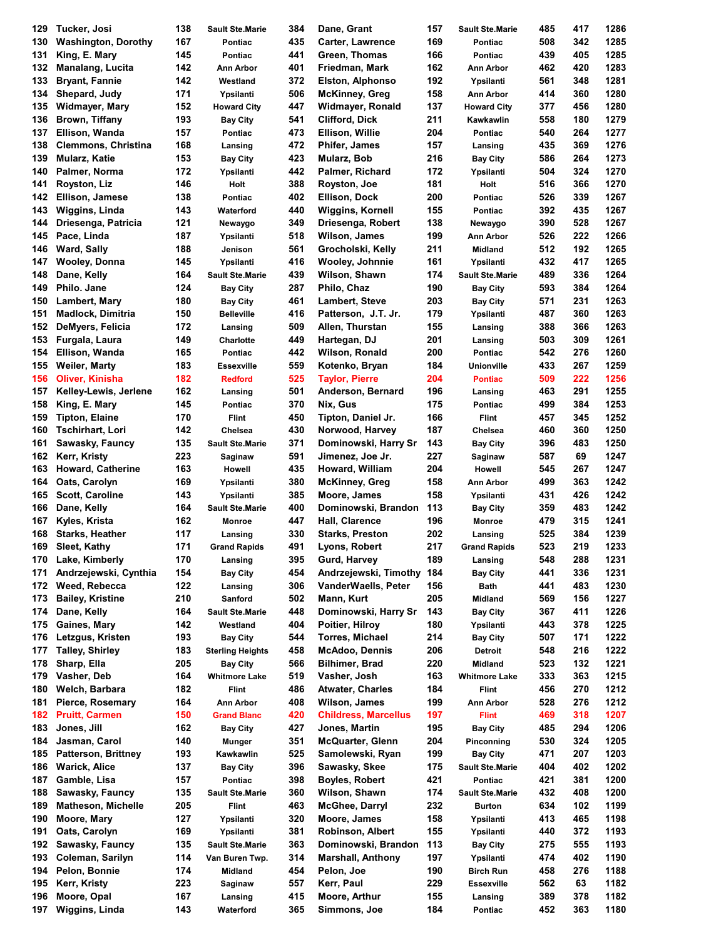| 129 | Tucker, Josi                 | 138 | <b>Sault Ste.Marie</b>  | 384 | Dane, Grant                 | 157 | <b>Sault Ste.Marie</b>       | 485 | 417 | 1286 |
|-----|------------------------------|-----|-------------------------|-----|-----------------------------|-----|------------------------------|-----|-----|------|
| 130 | <b>Washington, Dorothy</b>   | 167 | <b>Pontiac</b>          | 435 | <b>Carter, Lawrence</b>     | 169 | Pontiac                      | 508 | 342 | 1285 |
| 131 | King, E. Mary                | 145 | <b>Pontiac</b>          | 441 | Green, Thomas               | 166 | Pontiac                      | 439 | 405 | 1285 |
| 132 | <b>Manalang, Lucita</b>      | 142 | Ann Arbor               | 401 | Friedman, Mark              | 162 | Ann Arbor                    | 462 | 420 | 1283 |
| 133 | <b>Bryant, Fannie</b>        | 142 | Westland                | 372 | Elston, Alphonso            | 192 | Ypsilanti                    | 561 | 348 | 1281 |
| 134 | Shepard, Judy                | 171 | Ypsilanti               | 506 | <b>McKinney, Greg</b>       | 158 | Ann Arbor                    | 414 | 360 | 1280 |
| 135 | Widmayer, Mary               | 152 | <b>Howard City</b>      | 447 | Widmayer, Ronald            | 137 | <b>Howard City</b>           | 377 | 456 | 1280 |
| 136 | Brown, Tiffany               | 193 | <b>Bay City</b>         | 541 | Clifford, Dick              | 211 | Kawkawlin                    | 558 | 180 | 1279 |
| 137 | Ellison, Wanda               | 157 | <b>Pontiac</b>          | 473 | Ellison, Willie             | 204 | Pontiac                      | 540 | 264 | 1277 |
|     |                              |     |                         |     |                             |     |                              |     |     |      |
| 138 | <b>Clemmons, Christina</b>   | 168 | Lansing                 | 472 | Phifer, James               | 157 | Lansing                      | 435 | 369 | 1276 |
| 139 | Mularz, Katie                | 153 | <b>Bay City</b>         | 423 | Mularz, Bob                 | 216 | <b>Bay City</b>              | 586 | 264 | 1273 |
| 140 | Palmer, Norma                | 172 | Ypsilanti               | 442 | Palmer, Richard             | 172 | Ypsilanti                    | 504 | 324 | 1270 |
| 141 | Royston, Liz                 | 146 | Holt                    | 388 | Royston, Joe                | 181 | Holt                         | 516 | 366 | 1270 |
| 142 | Ellison, Jamese              | 138 | Pontiac                 | 402 | <b>Ellison, Dock</b>        | 200 | Pontiac                      | 526 | 339 | 1267 |
| 143 | Wiggins, Linda               | 143 | Waterford               | 440 | <b>Wiggins, Kornell</b>     | 155 | Pontiac                      | 392 | 435 | 1267 |
| 144 | Driesenga, Patricia          | 121 | Newaygo                 | 349 | Driesenga, Robert           | 138 | Newaygo                      | 390 | 528 | 1267 |
| 145 | Pace, Linda                  | 187 | Ypsilanti               | 518 | Wilson, James               | 199 | Ann Arbor                    | 526 | 222 | 1266 |
| 146 | <b>Ward, Sally</b>           | 188 | Jenison                 | 561 | Grocholski, Kelly           | 211 | <b>Midland</b>               | 512 | 192 | 1265 |
| 147 | <b>Wooley, Donna</b>         | 145 | Ypsilanti               | 416 | Wooley, Johnnie             | 161 | Ypsilanti                    | 432 | 417 | 1265 |
| 148 | Dane, Kelly                  | 164 | <b>Sault Ste.Marie</b>  | 439 | Wilson, Shawn               | 174 | <b>Sault Ste.Marie</b>       | 489 | 336 | 1264 |
| 149 | Philo. Jane                  | 124 | <b>Bay City</b>         | 287 | Philo, Chaz                 | 190 | <b>Bay City</b>              | 593 | 384 | 1264 |
| 150 | Lambert, Mary                | 180 | <b>Bay City</b>         | 461 | <b>Lambert, Steve</b>       | 203 | <b>Bay City</b>              | 571 | 231 | 1263 |
| 151 | <b>Madlock, Dimitria</b>     | 150 | <b>Belleville</b>       | 416 | Patterson, J.T. Jr.         | 179 | Ypsilanti                    | 487 | 360 | 1263 |
| 152 | DeMyers, Felicia             | 172 | Lansing                 | 509 | Allen, Thurstan             | 155 | Lansing                      | 388 | 366 | 1263 |
| 153 | Furgala, Laura               | 149 | Charlotte               | 449 | Hartegan, DJ                | 201 | Lansing                      | 503 | 309 | 1261 |
| 154 | Ellison, Wanda               | 165 | Pontiac                 | 442 | Wilson, Ronald              | 200 |                              | 542 | 276 | 1260 |
| 155 |                              | 183 |                         | 559 |                             | 184 | Pontiac<br><b>Unionville</b> | 433 | 267 | 1259 |
|     | <b>Weiler, Marty</b>         |     | Essexville              |     | Kotenko, Bryan              |     |                              |     |     |      |
| 156 | <b>Oliver, Kinisha</b>       | 182 | <b>Redford</b>          | 525 | <b>Taylor, Pierre</b>       | 204 | <b>Pontiac</b>               | 509 | 222 | 1256 |
| 157 | <b>Kelley-Lewis, Jerlene</b> | 162 | Lansing                 | 501 | Anderson, Bernard           | 196 | Lansing                      | 463 | 291 | 1255 |
| 158 | King, E. Mary                | 145 | Pontiac                 | 370 | Nix, Gus                    | 175 | Pontiac                      | 499 | 384 | 1253 |
| 159 | <b>Tipton, Elaine</b>        | 170 | <b>Flint</b>            | 450 | Tipton, Daniel Jr.          | 166 | <b>Flint</b>                 | 457 | 345 | 1252 |
| 160 | <b>Tschirhart, Lori</b>      | 142 | Chelsea                 | 430 | Norwood, Harvey             | 187 | Chelsea                      | 460 | 360 | 1250 |
| 161 | Sawasky, Fauncy              | 135 | <b>Sault Ste.Marie</b>  | 371 | Dominowski, Harry Sr        | 143 | <b>Bay City</b>              | 396 | 483 | 1250 |
| 162 | Kerr, Kristy                 | 223 | Saginaw                 | 591 | Jimenez, Joe Jr.            | 227 | Saginaw                      | 587 | 69  | 1247 |
| 163 | Howard, Catherine            | 163 | Howell                  | 435 | Howard, William             | 204 | Howell                       | 545 | 267 | 1247 |
| 164 | Oats, Carolyn                | 169 | Ypsilanti               | 380 | <b>McKinney, Greg</b>       | 158 | Ann Arbor                    | 499 | 363 | 1242 |
| 165 | <b>Scott, Caroline</b>       | 143 | Ypsilanti               | 385 | Moore, James                | 158 | Ypsilanti                    | 431 | 426 | 1242 |
| 166 | Dane, Kelly                  | 164 | <b>Sault Ste.Marie</b>  | 400 | Dominowski, Brandon         | 113 | <b>Bay City</b>              | 359 | 483 | 1242 |
| 167 | Kyles, Krista                | 162 | Monroe                  | 447 | Hall, Clarence              | 196 | Monroe                       | 479 | 315 | 1241 |
| 168 | <b>Starks, Heather</b>       | 117 | Lansing                 | 330 | <b>Starks, Preston</b>      | 202 | Lansing                      | 525 | 384 | 1239 |
| 169 | Sleet, Kathy                 | 171 | <b>Grand Rapids</b>     | 491 | Lyons, Robert               | 217 | <b>Grand Rapids</b>          | 523 | 219 | 1233 |
| 170 | Lake, Kimberly               | 170 | Lansing                 | 395 | Gurd, Harvey                | 189 | Lansing                      | 548 | 288 | 1231 |
| 171 | Andrzejewski, Cynthia        | 154 |                         | 454 | Andrzejewski, Timothy       | 184 |                              | 441 | 336 | 1231 |
|     |                              |     | <b>Bay City</b>         |     | VanderWaells, Peter         |     | <b>Bay City</b>              |     |     |      |
| 172 | Weed, Rebecca                | 122 | Lansing                 | 306 |                             | 156 | Bath                         | 441 | 483 | 1230 |
| 173 | <b>Bailey, Kristine</b>      | 210 | Sanford                 | 502 | Mann, Kurt                  | 205 | <b>Midland</b>               | 569 | 156 | 1227 |
| 174 | Dane, Kelly                  | 164 | <b>Sault Ste.Marie</b>  | 448 | Dominowski, Harry Sr        | 143 | <b>Bay City</b>              | 367 | 411 | 1226 |
| 175 | Gaines, Mary                 | 142 | Westland                | 404 | Poitier, Hilroy             | 180 | Ypsilanti                    | 443 | 378 | 1225 |
| 176 | Letzgus, Kristen             | 193 | <b>Bay City</b>         | 544 | Torres, Michael             | 214 | <b>Bay City</b>              | 507 | 171 | 1222 |
| 177 | <b>Talley, Shirley</b>       | 183 | <b>Sterling Heights</b> | 458 | McAdoo, Dennis              | 206 | Detroit                      | 548 | 216 | 1222 |
| 178 | Sharp, Ella                  | 205 | <b>Bay City</b>         | 566 | <b>Bilhimer, Brad</b>       | 220 | <b>Midland</b>               | 523 | 132 | 1221 |
| 179 | Vasher, Deb                  | 164 | Whitmore Lake           | 519 | Vasher, Josh                | 163 | <b>Whitmore Lake</b>         | 333 | 363 | 1215 |
| 180 | Welch, Barbara               | 182 | <b>Flint</b>            | 486 | <b>Atwater, Charles</b>     | 184 | <b>Flint</b>                 | 456 | 270 | 1212 |
| 181 | Pierce, Rosemary             | 164 | Ann Arbor               | 408 | Wilson, James               | 199 | Ann Arbor                    | 528 | 276 | 1212 |
| 182 | <b>Pruitt, Carmen</b>        | 150 | <b>Grand Blanc</b>      | 420 | <b>Childress, Marcellus</b> | 197 | <b>Flint</b>                 | 469 | 318 | 1207 |
| 183 | Jones, Jill                  | 162 | <b>Bay City</b>         | 427 | Jones, Martin               | 195 | <b>Bay City</b>              | 485 | 294 | 1206 |
| 184 | Jasman, Carol                | 140 | Munger                  | 351 | <b>McQuarter, Glenn</b>     | 204 | Pinconning                   | 530 | 324 | 1205 |
| 185 | <b>Patterson, Brittney</b>   | 193 | Kawkawlin               | 525 | Samolewski, Ryan            | 199 | <b>Bay City</b>              | 471 | 207 | 1203 |
| 186 | Warick, Alice                | 137 | <b>Bay City</b>         | 396 | Sawasky, Skee               | 175 | <b>Sault Ste.Marie</b>       | 404 | 402 | 1202 |
| 187 | Gamble, Lisa                 | 157 | Pontiac                 | 398 | Boyles, Robert              | 421 | Pontiac                      | 421 | 381 | 1200 |
| 188 | Sawasky, Fauncy              | 135 | <b>Sault Ste.Marie</b>  | 360 | Wilson, Shawn               | 174 | <b>Sault Ste.Marie</b>       | 432 | 408 | 1200 |
| 189 | <b>Matheson, Michelle</b>    | 205 | <b>Flint</b>            | 463 | McGhee, Darryl              | 232 | <b>Burton</b>                | 634 | 102 | 1199 |
|     |                              |     |                         |     |                             |     |                              |     |     |      |
| 190 | Moore, Mary                  | 127 | Ypsilanti               | 320 | Moore, James                | 158 | Ypsilanti                    | 413 | 465 | 1198 |
| 191 | Oats, Carolyn                | 169 | Ypsilanti               | 381 | <b>Robinson, Albert</b>     | 155 | Ypsilanti                    | 440 | 372 | 1193 |
| 192 | Sawasky, Fauncy              | 135 | <b>Sault Ste.Marie</b>  | 363 | Dominowski, Brandon         | 113 | <b>Bay City</b>              | 275 | 555 | 1193 |
| 193 | Coleman, Sarilyn             | 114 | Van Buren Twp.          | 314 | <b>Marshall, Anthony</b>    | 197 | Ypsilanti                    | 474 | 402 | 1190 |
| 194 | Pelon, Bonnie                | 174 | Midland                 | 454 | Pelon, Joe                  | 190 | <b>Birch Run</b>             | 458 | 276 | 1188 |
| 195 | Kerr, Kristy                 | 223 | Saginaw                 | 557 | Kerr, Paul                  | 229 | <b>Essexville</b>            | 562 | 63  | 1182 |
| 196 | Moore, Opal                  | 167 | Lansing                 | 415 | Moore, Arthur               | 155 | Lansing                      | 389 | 378 | 1182 |
| 197 | Wiggins, Linda               | 143 | Waterford               | 365 | Simmons, Joe                | 184 | Pontiac                      | 452 | 363 | 1180 |